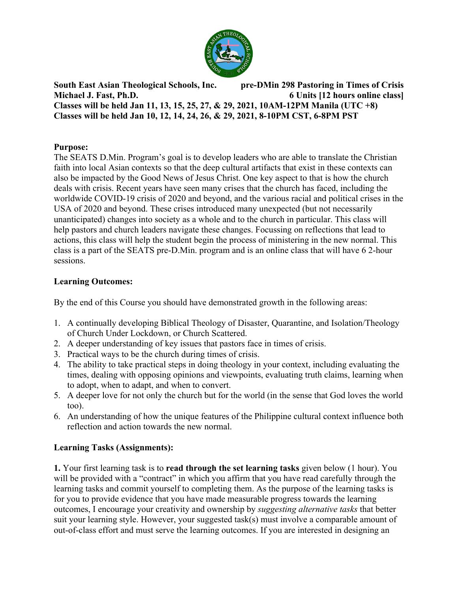

**South East Asian Theological Schools, Inc. pre-DMin 298 Pastoring in Times of Crisis Michael J. Fast, Ph.D. 6 Units [12 hours online class] Classes will be held Jan 11, 13, 15, 25, 27, & 29, 2021, 10AM-12PM Manila (UTC +8) Classes will be held Jan 10, 12, 14, 24, 26, & 29, 2021, 8-10PM CST, 6-8PM PST**

#### **Purpose:**

The SEATS D.Min. Program's goal is to develop leaders who are able to translate the Christian faith into local Asian contexts so that the deep cultural artifacts that exist in these contexts can also be impacted by the Good News of Jesus Christ. One key aspect to that is how the church deals with crisis. Recent years have seen many crises that the church has faced, including the worldwide COVID-19 crisis of 2020 and beyond, and the various racial and political crises in the USA of 2020 and beyond. These crises introduced many unexpected (but not necessarily unanticipated) changes into society as a whole and to the church in particular. This class will help pastors and church leaders navigate these changes. Focussing on reflections that lead to actions, this class will help the student begin the process of ministering in the new normal. This class is a part of the SEATS pre-D.Min. program and is an online class that will have 6 2-hour sessions.

### **Learning Outcomes:**

By the end of this Course you should have demonstrated growth in the following areas:

- 1. A continually developing Biblical Theology of Disaster, Quarantine, and Isolation/Theology of Church Under Lockdown, or Church Scattered.
- 2. A deeper understanding of key issues that pastors face in times of crisis.
- 3. Practical ways to be the church during times of crisis.
- 4. The ability to take practical steps in doing theology in your context, including evaluating the times, dealing with opposing opinions and viewpoints, evaluating truth claims, learning when to adopt, when to adapt, and when to convert.
- 5. A deeper love for not only the church but for the world (in the sense that God loves the world too).
- 6. An understanding of how the unique features of the Philippine cultural context influence both reflection and action towards the new normal.

### **Learning Tasks (Assignments):**

**1.** Your first learning task is to **read through the set learning tasks** given below (1 hour). You will be provided with a "contract" in which you affirm that you have read carefully through the learning tasks and commit yourself to completing them. As the purpose of the learning tasks is for you to provide evidence that you have made measurable progress towards the learning outcomes, I encourage your creativity and ownership by *suggesting alternative tasks* that better suit your learning style. However, your suggested task(s) must involve a comparable amount of out-of-class effort and must serve the learning outcomes. If you are interested in designing an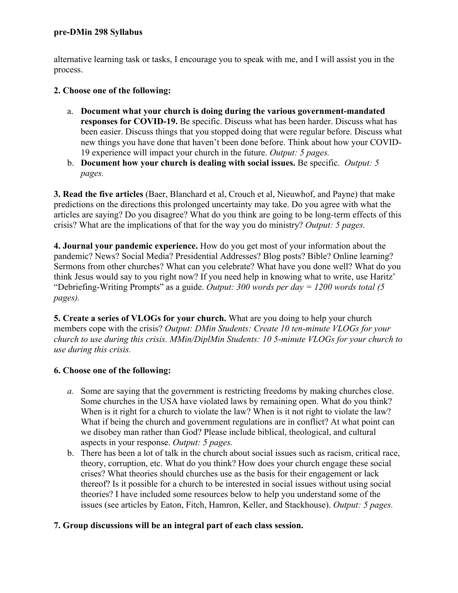alternative learning task or tasks, I encourage you to speak with me, and I will assist you in the process.

### **2. Choose one of the following:**

- a. **Document what your church is doing during the various government-mandated responses for COVID-19.** Be specific. Discuss what has been harder. Discuss what has been easier. Discuss things that you stopped doing that were regular before. Discuss what new things you have done that haven't been done before. Think about how your COVID-19 experience will impact your church in the future. *Output: 5 pages.*
- b. **Document how your church is dealing with social issues.** Be specific. *Output: 5 pages.*

**3. Read the five articles** (Baer, Blanchard et al, Crouch et al, Nieuwhof, and Payne) that make predictions on the directions this prolonged uncertainty may take. Do you agree with what the articles are saying? Do you disagree? What do you think are going to be long-term effects of this crisis? What are the implications of that for the way you do ministry? *Output: 5 pages.*

**4. Journal your pandemic experience.** How do you get most of your information about the pandemic? News? Social Media? Presidential Addresses? Blog posts? Bible? Online learning? Sermons from other churches? What can you celebrate? What have you done well? What do you think Jesus would say to you right now? If you need help in knowing what to write, use Haritz' "Debriefing-Writing Prompts" as a guide. *Output: 300 words per day = 1200 words total (5 pages).* 

**5. Create a series of VLOGs for your church.** What are you doing to help your church members cope with the crisis? *Output: DMin Students: Create 10 ten-minute VLOGs for your church to use during this crisis. MMin/DiplMin Students: 10 5-minute VLOGs for your church to use during this crisis.* 

# **6. Choose one of the following:**

- *a.* Some are saying that the government is restricting freedoms by making churches close. Some churches in the USA have violated laws by remaining open. What do you think? When is it right for a church to violate the law? When is it not right to violate the law? What if being the church and government regulations are in conflict? At what point can we disobey man rather than God? Please include biblical, theological, and cultural aspects in your response. *Output: 5 pages.*
- b. There has been a lot of talk in the church about social issues such as racism, critical race, theory, corruption, etc. What do you think? How does your church engage these social crises? What theories should churches use as the basis for their engagement or lack thereof? Is it possible for a church to be interested in social issues without using social theories? I have included some resources below to help you understand some of the issues (see articles by Eaton, Fitch, Hamron, Keller, and Stackhouse). *Output: 5 pages.*

# **7. Group discussions will be an integral part of each class session.**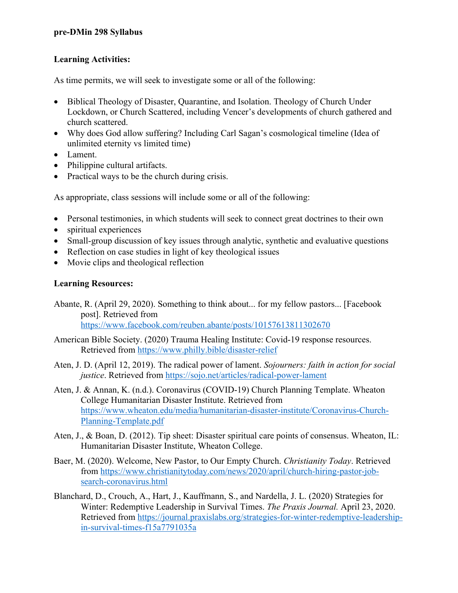### **Learning Activities:**

As time permits, we will seek to investigate some or all of the following:

- Biblical Theology of Disaster, Quarantine, and Isolation. Theology of Church Under Lockdown, or Church Scattered, including Vencer's developments of church gathered and church scattered.
- Why does God allow suffering? Including Carl Sagan's cosmological timeline (Idea of unlimited eternity vs limited time)
- Lament.
- Philippine cultural artifacts.
- Practical ways to be the church during crisis.

As appropriate, class sessions will include some or all of the following:

- Personal testimonies, in which students will seek to connect great doctrines to their own
- spiritual experiences
- Small-group discussion of key issues through analytic, synthetic and evaluative questions
- Reflection on case studies in light of key theological issues
- Movie clips and theological reflection

## **Learning Resources:**

- Abante, R. (April 29, 2020). Something to think about... for my fellow pastors... [Facebook post]. Retrieved from https://www.facebook.com/reuben.abante/posts/10157613811302670
- American Bible Society. (2020) Trauma Healing Institute: Covid-19 response resources. Retrieved from https://www.philly.bible/disaster-relief
- Aten, J. D. (April 12, 2019). The radical power of lament. *Sojourners: faith in action for social justice*. Retrieved from https://sojo.net/articles/radical-power-lament
- Aten, J. & Annan, K. (n.d.). Coronavirus (COVID-19) Church Planning Template. Wheaton College Humanitarian Disaster Institute. Retrieved from https://www.wheaton.edu/media/humanitarian-disaster-institute/Coronavirus-Church-Planning-Template.pdf
- Aten, J., & Boan, D. (2012). Tip sheet: Disaster spiritual care points of consensus. Wheaton, IL: Humanitarian Disaster Institute, Wheaton College.
- Baer, M. (2020). Welcome, New Pastor, to Our Empty Church. *Christianity Today*. Retrieved from https://www.christianitytoday.com/news/2020/april/church-hiring-pastor-jobsearch-coronavirus.html
- Blanchard, D., Crouch, A., Hart, J., Kauffmann, S., and Nardella, J. L. (2020) Strategies for Winter: Redemptive Leadership in Survival Times. *The Praxis Journal.* April 23, 2020. Retrieved from https://journal.praxislabs.org/strategies-for-winter-redemptive-leadershipin-survival-times-f15a7791035a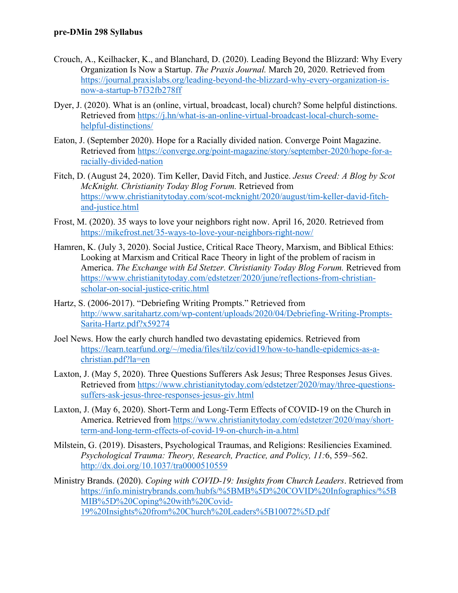- Crouch, A., Keilhacker, K., and Blanchard, D. (2020). Leading Beyond the Blizzard: Why Every Organization Is Now a Startup. *The Praxis Journal.* March 20, 2020. Retrieved from https://journal.praxislabs.org/leading-beyond-the-blizzard-why-every-organization-isnow-a-startup-b7f32fb278ff
- Dyer, J. (2020). What is an (online, virtual, broadcast, local) church? Some helpful distinctions. Retrieved from https://j.hn/what-is-an-online-virtual-broadcast-local-church-somehelpful-distinctions/
- Eaton, J. (September 2020). Hope for a Racially divided nation. Converge Point Magazine. Retrieved from https://converge.org/point-magazine/story/september-2020/hope-for-aracially-divided-nation
- Fitch, D. (August 24, 2020). Tim Keller, David Fitch, and Justice. *Jesus Creed: A Blog by Scot McKnight. Christianity Today Blog Forum.* Retrieved from https://www.christianitytoday.com/scot-mcknight/2020/august/tim-keller-david-fitchand-justice.html
- Frost, M. (2020). 35 ways to love your neighbors right now. April 16, 2020. Retrieved from https://mikefrost.net/35-ways-to-love-your-neighbors-right-now/
- Hamren, K. (July 3, 2020). Social Justice, Critical Race Theory, Marxism, and Biblical Ethics: Looking at Marxism and Critical Race Theory in light of the problem of racism in America. *The Exchange with Ed Stetzer. Christianity Today Blog Forum.* Retrieved from https://www.christianitytoday.com/edstetzer/2020/june/reflections-from-christianscholar-on-social-justice-critic.html
- Hartz, S. (2006-2017). "Debriefing Writing Prompts." Retrieved from http://www.saritahartz.com/wp-content/uploads/2020/04/Debriefing-Writing-Prompts-Sarita-Hartz.pdf?x59274
- Joel News. How the early church handled two devastating epidemics. Retrieved from https://learn.tearfund.org/~/media/files/tilz/covid19/how-to-handle-epidemics-as-achristian.pdf?la=en
- Laxton, J. (May 5, 2020). Three Questions Sufferers Ask Jesus; Three Responses Jesus Gives. Retrieved from https://www.christianitytoday.com/edstetzer/2020/may/three-questionssuffers-ask-jesus-three-responses-jesus-giv.html
- Laxton, J. (May 6, 2020). Short-Term and Long-Term Effects of COVID-19 on the Church in America. Retrieved from https://www.christianitytoday.com/edstetzer/2020/may/shortterm-and-long-term-effects-of-covid-19-on-church-in-a.html
- Milstein, G. (2019). Disasters, Psychological Traumas, and Religions: Resiliencies Examined. *Psychological Trauma: Theory, Research, Practice, and Policy, 11:*6, 559–562. http://dx.doi.org/10.1037/tra0000510559
- Ministry Brands. (2020). *Coping with COVID-19: Insights from Church Leaders*. Retrieved from https://info.ministrybrands.com/hubfs/%5BMB%5D%20COVID%20Infographics/%5B MIB%5D%20Coping%20with%20Covid-19%20Insights%20from%20Church%20Leaders%5B10072%5D.pdf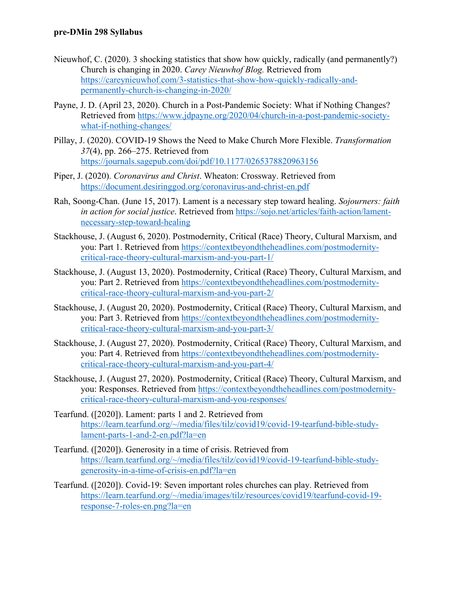- Nieuwhof, C. (2020). 3 shocking statistics that show how quickly, radically (and permanently?) Church is changing in 2020. *Carey Nieuwhof Blog.* Retrieved from https://careynieuwhof.com/3-statistics-that-show-how-quickly-radically-andpermanently-church-is-changing-in-2020/
- Payne, J. D. (April 23, 2020). Church in a Post-Pandemic Society: What if Nothing Changes? Retrieved from https://www.jdpayne.org/2020/04/church-in-a-post-pandemic-societywhat-if-nothing-changes/
- Pillay, J. (2020). COVID-19 Shows the Need to Make Church More Flexible. *Transformation 37*(4), pp. 266–275. Retrieved from https://journals.sagepub.com/doi/pdf/10.1177/0265378820963156
- Piper, J. (2020). *Coronavirus and Christ*. Wheaton: Crossway. Retrieved from https://document.desiringgod.org/coronavirus-and-christ-en.pdf
- Rah, Soong-Chan. (June 15, 2017). Lament is a necessary step toward healing. *Sojourners: faith in action for social justice*. Retrieved from https://sojo.net/articles/faith-action/lamentnecessary-step-toward-healing
- Stackhouse, J. (August 6, 2020). Postmodernity, Critical (Race) Theory, Cultural Marxism, and you: Part 1. Retrieved from https://contextbeyondtheheadlines.com/postmodernitycritical-race-theory-cultural-marxism-and-you-part-1/
- Stackhouse, J. (August 13, 2020). Postmodernity, Critical (Race) Theory, Cultural Marxism, and you: Part 2. Retrieved from https://contextbeyondtheheadlines.com/postmodernitycritical-race-theory-cultural-marxism-and-you-part-2/
- Stackhouse, J. (August 20, 2020). Postmodernity, Critical (Race) Theory, Cultural Marxism, and you: Part 3. Retrieved from https://contextbeyondtheheadlines.com/postmodernitycritical-race-theory-cultural-marxism-and-you-part-3/
- Stackhouse, J. (August 27, 2020). Postmodernity, Critical (Race) Theory, Cultural Marxism, and you: Part 4. Retrieved from https://contextbeyondtheheadlines.com/postmodernitycritical-race-theory-cultural-marxism-and-you-part-4/
- Stackhouse, J. (August 27, 2020). Postmodernity, Critical (Race) Theory, Cultural Marxism, and you: Responses. Retrieved from https://contextbeyondtheheadlines.com/postmodernitycritical-race-theory-cultural-marxism-and-you-responses/
- Tearfund. ([2020]). Lament: parts 1 and 2. Retrieved from https://learn.tearfund.org/~/media/files/tilz/covid19/covid-19-tearfund-bible-studylament-parts-1-and-2-en.pdf?la=en
- Tearfund. ([2020]). Generosity in a time of crisis. Retrieved from https://learn.tearfund.org/~/media/files/tilz/covid19/covid-19-tearfund-bible-studygenerosity-in-a-time-of-crisis-en.pdf?la=en
- Tearfund. ([2020]). Covid-19: Seven important roles churches can play. Retrieved from https://learn.tearfund.org/~/media/images/tilz/resources/covid19/tearfund-covid-19 response-7-roles-en.png?la=en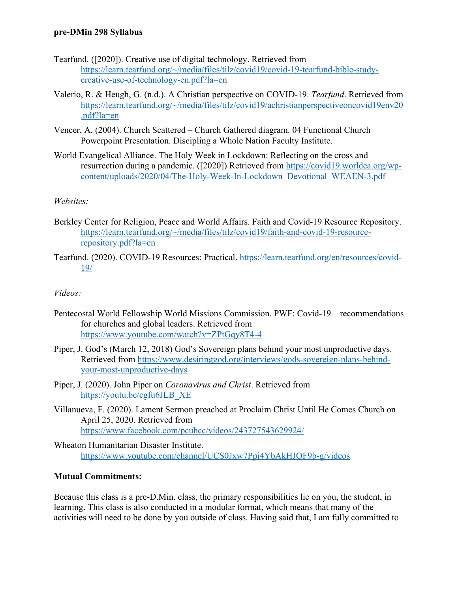- Tearfund. ([2020]). Creative use of digital technology. Retrieved from https://learn.tearfund.org/~/media/files/tilz/covid19/covid-19-tearfund-bible-studycreative-use-of-technology-en.pdf?la=en
- Valerio, R. & Heugh, G. (n.d.). A Christian perspective on COVID-19. *Tearfund*. Retrieved from https://learn.tearfund.org/~/media/files/tilz/covid19/achristianperspectiveoncovid19env20 .pdf?la=en
- Vencer, A. (2004). Church Scattered Church Gathered diagram. 04 Functional Church Powerpoint Presentation. Discipling a Whole Nation Faculty Institute.
- World Evangelical Alliance. The Holy Week in Lockdown: Reflecting on the cross and resurrection during a pandemic. ([2020]) Retrieved from https://covid19.worldea.org/wpcontent/uploads/2020/04/The-Holy-Week-In-Lockdown\_Devotional\_WEAEN-3.pdf

## *Websites:*

- Berkley Center for Religion, Peace and World Affairs. Faith and Covid-19 Resource Repository. https://learn.tearfund.org/~/media/files/tilz/covid19/faith-and-covid-19-resourcerepository.pdf?la=en
- Tearfund. (2020). COVID-19 Resources: Practical. https://learn.tearfund.org/en/resources/covid-19/

### *Videos:*

- Pentecostal World Fellowship World Missions Commission. PWF: Covid-19 recommendations for churches and global leaders. Retrieved from https://www.youtube.com/watch?v=ZPtGqy8T4-4
- Piper, J. God's (March 12, 2018) God's Sovereign plans behind your most unproductive days. Retrieved from https://www.desiringgod.org/interviews/gods-sovereign-plans-behindyour-most-unproductive-days
- Piper, J. (2020). John Piper on *Coronavirus and Christ*. Retrieved from https://youtu.be/cgfu6JLB\_XE
- Villanueva, F. (2020). Lament Sermon preached at Proclaim Christ Until He Comes Church on April 25, 2020. Retrieved from https://www.facebook.com/pcuhcc/videos/243727543629924/
- Wheaton Humanitarian Disaster Institute. https://www.youtube.com/channel/UCS0Jxw7Ppi4YbAkHJQF9b-g/videos

### **Mutual Commitments:**

Because this class is a pre-D.Min. class, the primary responsibilities lie on you, the student, in learning. This class is also conducted in a modular format, which means that many of the activities will need to be done by you outside of class. Having said that, I am fully committed to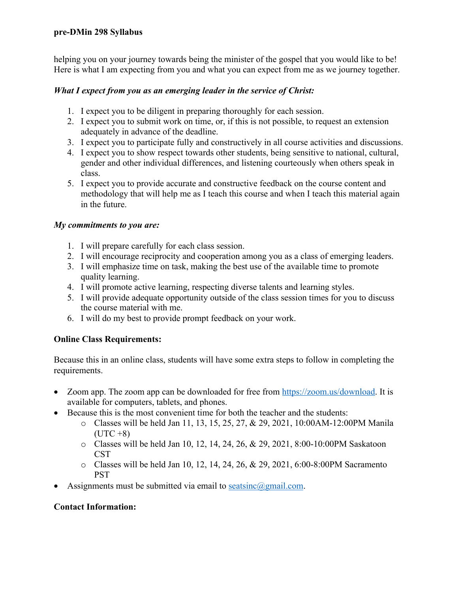helping you on your journey towards being the minister of the gospel that you would like to be! Here is what I am expecting from you and what you can expect from me as we journey together.

### *What I expect from you as an emerging leader in the service of Christ:*

- 1. I expect you to be diligent in preparing thoroughly for each session.
- 2. I expect you to submit work on time, or, if this is not possible, to request an extension adequately in advance of the deadline.
- 3. I expect you to participate fully and constructively in all course activities and discussions.
- 4. I expect you to show respect towards other students, being sensitive to national, cultural, gender and other individual differences, and listening courteously when others speak in class.
- 5. I expect you to provide accurate and constructive feedback on the course content and methodology that will help me as I teach this course and when I teach this material again in the future.

#### *My commitments to you are:*

- 1. I will prepare carefully for each class session.
- 2. I will encourage reciprocity and cooperation among you as a class of emerging leaders.
- 3. I will emphasize time on task, making the best use of the available time to promote quality learning.
- 4. I will promote active learning, respecting diverse talents and learning styles.
- 5. I will provide adequate opportunity outside of the class session times for you to discuss the course material with me.
- 6. I will do my best to provide prompt feedback on your work.

### **Online Class Requirements:**

Because this in an online class, students will have some extra steps to follow in completing the requirements.

- Zoom app. The zoom app can be downloaded for free from https://zoom.us/download. It is available for computers, tablets, and phones.
- Because this is the most convenient time for both the teacher and the students:
	- o Classes will be held Jan 11, 13, 15, 25, 27, & 29, 2021, 10:00AM-12:00PM Manila  $(UTC + 8)$
	- o Classes will be held Jan 10, 12, 14, 24, 26, & 29, 2021, 8:00-10:00PM Saskatoon CST
	- o Classes will be held Jan 10, 12, 14, 24, 26, & 29, 2021, 6:00-8:00PM Sacramento **PST**
- Assignments must be submitted via email to seatsinc@gmail.com.

### **Contact Information:**